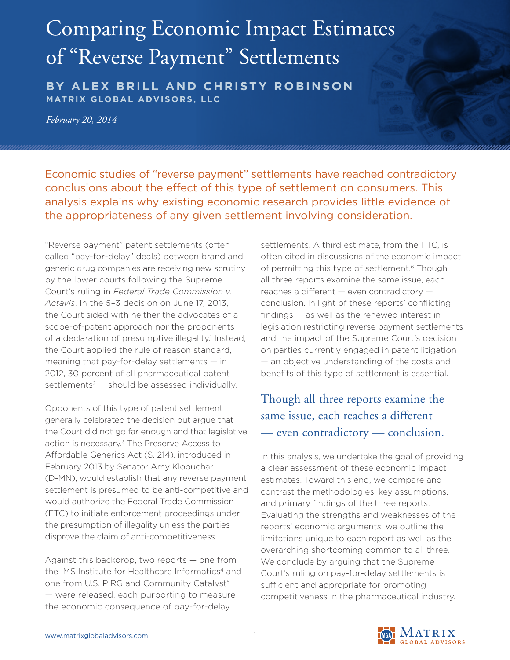# Comparing Economic Impact Estimates of "Reverse Payment" Settlements

**BY ALEX BRILL AND CHRISTY ROBINSON MATRIX GLOBAL ADVISORS, LLC**

*February 20, 2014*

Economic studies of "reverse payment" settlements have reached contradictory conclusions about the effect of this type of settlement on consumers. This analysis explains why existing economic research provides little evidence of the appropriateness of any given settlement involving consideration.

"Reverse payment" patent settlements (often called "pay-for-delay" deals) between brand and generic drug companies are receiving new scrutiny by the lower courts following the Supreme Court's ruling in *Federal Trade Commission v. Actavis*. In the 5–3 decision on June 17, 2013, the Court sided with neither the advocates of a scope-of-patent approach nor the proponents of a declaration of presumptive illegality.<sup>1</sup> Instead, the Court applied the rule of reason standard, meaning that pay-for-delay settlements — in 2012, 30 percent of all pharmaceutical patent settlements<sup>2</sup>  $-$  should be assessed individually.

Opponents of this type of patent settlement generally celebrated the decision but argue that the Court did not go far enough and that legislative action is necessary.3 The Preserve Access to Affordable Generics Act (S. 214), introduced in February 2013 by Senator Amy Klobuchar (D-MN), would establish that any reverse payment settlement is presumed to be anti-competitive and would authorize the Federal Trade Commission (FTC) to initiate enforcement proceedings under the presumption of illegality unless the parties disprove the claim of anti-competitiveness.

Against this backdrop, two reports — one from the IMS Institute for Healthcare Informatics<sup>4</sup> and one from U.S. PIRG and Community Catalyst<sup>5</sup> — were released, each purporting to measure the economic consequence of pay-for-delay

settlements. A third estimate, from the FTC, is often cited in discussions of the economic impact of permitting this type of settlement.<sup>6</sup> Though all three reports examine the same issue, each reaches a different — even contradictory conclusion. In light of these reports' conflicting findings — as well as the renewed interest in legislation restricting reverse payment settlements and the impact of the Supreme Court's decision on parties currently engaged in patent litigation — an objective understanding of the costs and benefits of this type of settlement is essential.

## Though all three reports examine the same issue, each reaches a different — even contradictory — conclusion.

In this analysis, we undertake the goal of providing a clear assessment of these economic impact estimates. Toward this end, we compare and contrast the methodologies, key assumptions, and primary findings of the three reports. Evaluating the strengths and weaknesses of the reports' economic arguments, we outline the limitations unique to each report as well as the overarching shortcoming common to all three. We conclude by arguing that the Supreme Court's ruling on pay-for-delay settlements is sufficient and appropriate for promoting competitiveness in the pharmaceutical industry.

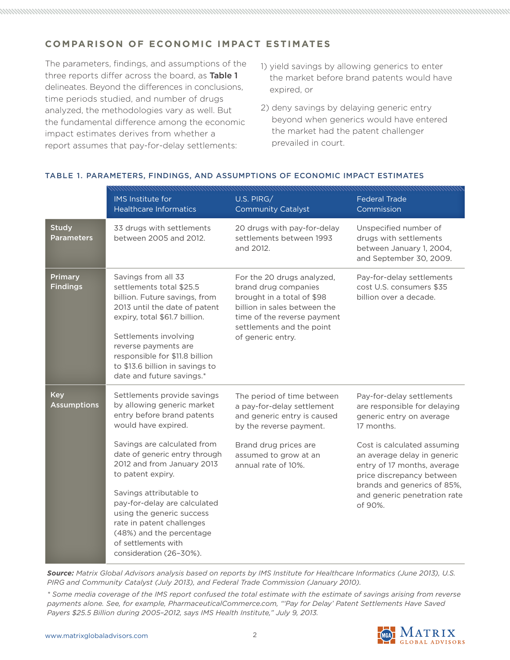### **COMPARISON OF ECONOMIC IMPACT ESTIMATES**

The parameters, findings, and assumptions of the three reports differ across the board, as Table 1 delineates. Beyond the differences in conclusions, time periods studied, and number of drugs analyzed, the methodologies vary as well. But the fundamental difference among the economic impact estimates derives from whether a report assumes that pay-for-delay settlements:

- 1) yield savings by allowing generics to enter the market before brand patents would have expired, or
- 2) deny savings by delaying generic entry beyond when generics would have entered the market had the patent challenger prevailed in court.

|                                   | <b>IMS</b> Institute for<br><b>Healthcare Informatics</b>                                                                                                                                                                                                                                             | U.S. PIRG/<br><b>Community Catalyst</b>                                                                                                                                                           | <b>Federal Trade</b><br>Commission                                                                                     |
|-----------------------------------|-------------------------------------------------------------------------------------------------------------------------------------------------------------------------------------------------------------------------------------------------------------------------------------------------------|---------------------------------------------------------------------------------------------------------------------------------------------------------------------------------------------------|------------------------------------------------------------------------------------------------------------------------|
| <b>Study</b><br><b>Parameters</b> | 33 drugs with settlements<br>between 2005 and 2012.                                                                                                                                                                                                                                                   | 20 drugs with pay-for-delay<br>settlements between 1993<br>and 2012.                                                                                                                              | Unspecified number of<br>drugs with settlements<br>between January 1, 2004,<br>and September 30, 2009.                 |
| <b>Primary</b><br><b>Findings</b> | Savings from all 33<br>settlements total \$25.5<br>billion. Future savings, from<br>2013 until the date of patent<br>expiry, total \$61.7 billion.<br>Settlements involving<br>reverse payments are<br>responsible for \$11.8 billion<br>to \$13.6 billion in savings to<br>date and future savings.* | For the 20 drugs analyzed,<br>brand drug companies<br>brought in a total of \$98<br>billion in sales between the<br>time of the reverse payment<br>settlements and the point<br>of generic entry. | Pay-for-delay settlements<br>cost U.S. consumers \$35<br>billion over a decade.                                        |
| <b>Key</b><br><b>Assumptions</b>  | Settlements provide savings<br>by allowing generic market<br>entry before brand patents<br>would have expired.                                                                                                                                                                                        | The period of time between<br>a pay-for-delay settlement<br>and generic entry is caused<br>by the reverse payment.                                                                                | Pay-for-delay settlements<br>are responsible for delaying<br>generic entry on average<br>17 months.                    |
|                                   | Savings are calculated from<br>date of generic entry through<br>2012 and from January 2013<br>to patent expiry.                                                                                                                                                                                       | Brand drug prices are<br>assumed to grow at an<br>annual rate of 10%.                                                                                                                             | Cost is calculated assuming<br>an average delay in generic<br>entry of 17 months, average<br>price discrepancy between |
|                                   | Savings attributable to<br>pay-for-delay are calculated<br>using the generic success<br>rate in patent challenges<br>(48%) and the percentage<br>of settlements with<br>consideration (26-30%).                                                                                                       |                                                                                                                                                                                                   | brands and generics of 85%,<br>and generic penetration rate<br>of 90%.                                                 |

#### TABLE 1. PARAMETERS, FINDINGS, AND ASSUMPTIONS OF ECONOMIC IMPACT ESTIMATES

*Source: Matrix Global Advisors analysis based on reports by IMS Institute for Healthcare Informatics (June 2013), U.S. PIRG and Community Catalyst (July 2013), and Federal Trade Commission (January 2010).*

*\* Some media coverage of the IMS report confused the total estimate with the estimate of savings arising from reverse payments alone. See, for example, PharmaceuticalCommerce.com, "'Pay for Delay' Patent Settlements Have Saved Payers \$25.5 Billion during 2005–2012, says IMS Health Institute," July 9, 2013.*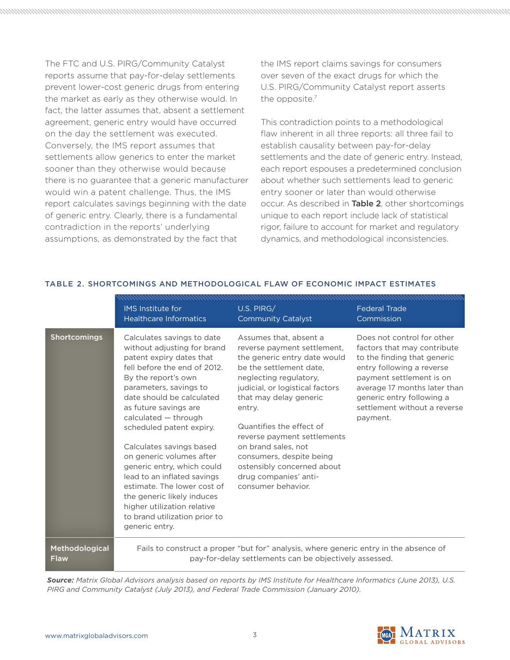The FTC and U.S. PIRG/Community Catalyst reports assume that pay-for-delay settlements prevent lower-cost generic drugs from entering the market as early as they otherwise would. In fact, the latter assumes that, absent a settlement agreement, generic entry would have occurred on the day the settlement was executed. Conversely, the IMS report assumes that settlements allow generics to enter the market sooner than they otherwise would because there is no guarantee that a generic manufacturer would win a patent challenge. Thus, the IMS report calculates savings beginning with the date of generic entry. Clearly, there is a fundamental contradiction in the reports' underlying assumptions, as demonstrated by the fact that

the IMS report claims savings for consumers over seven of the exact drugs for which the U.S. PIRG/Community Catalyst report asserts the opposite.7

This contradiction points to a methodological flaw inherent in all three reports: all three fail to establish causality between pay-for-delay settlements and the date of generic entry. Instead, each report espouses a predetermined conclusion about whether such settlements lead to generic entry sooner or later than would otherwise occur. As described in Table 2, other shortcomings unique to each report include lack of statistical rigor, failure to account for market and regulatory dynamics, and methodological inconsistencies.

|                     | <b>IMS</b> Institute for                                                                                                                                                                                                                                                                                                                                                                                                                                                                                                                             | U.S. PIRG/                                                                                                                                                                                                                                                                                                                                                                                                   | <b>Federal Trade</b>                                                                                                                                                                                                                                       |
|---------------------|------------------------------------------------------------------------------------------------------------------------------------------------------------------------------------------------------------------------------------------------------------------------------------------------------------------------------------------------------------------------------------------------------------------------------------------------------------------------------------------------------------------------------------------------------|--------------------------------------------------------------------------------------------------------------------------------------------------------------------------------------------------------------------------------------------------------------------------------------------------------------------------------------------------------------------------------------------------------------|------------------------------------------------------------------------------------------------------------------------------------------------------------------------------------------------------------------------------------------------------------|
|                     | <b>Healthcare Informatics</b>                                                                                                                                                                                                                                                                                                                                                                                                                                                                                                                        | <b>Community Catalyst</b>                                                                                                                                                                                                                                                                                                                                                                                    | Commission                                                                                                                                                                                                                                                 |
| <b>Shortcomings</b> | Calculates savings to date<br>without adjusting for brand<br>patent expiry dates that<br>fell before the end of 2012.<br>By the report's own<br>parameters, savings to<br>date should be calculated<br>as future savings are<br>calculated - through<br>scheduled patent expiry.<br>Calculates savings based<br>on generic volumes after<br>generic entry, which could<br>lead to an inflated savings<br>estimate. The lower cost of<br>the generic likely induces<br>higher utilization relative<br>to brand utilization prior to<br>generic entry. | Assumes that, absent a<br>reverse payment settlement.<br>the generic entry date would<br>be the settlement date.<br>neglecting regulatory,<br>judicial, or logistical factors<br>that may delay generic<br>entry.<br>Quantifies the effect of<br>reverse payment settlements<br>on brand sales, not<br>consumers, despite being<br>ostensibly concerned about<br>drug companies' anti-<br>consumer behavior. | Does not control for other<br>factors that may contribute<br>to the finding that generic<br>entry following a reverse<br>payment settlement is on<br>average 17 months later than<br>generic entry following a<br>settlement without a reverse<br>payment. |
| Methodological      | Fails to construct a proper "but for" analysis, where generic entry in the absence of                                                                                                                                                                                                                                                                                                                                                                                                                                                                |                                                                                                                                                                                                                                                                                                                                                                                                              |                                                                                                                                                                                                                                                            |
| <b>Flaw</b>         | pay-for-delay settlements can be objectively assessed.                                                                                                                                                                                                                                                                                                                                                                                                                                                                                               |                                                                                                                                                                                                                                                                                                                                                                                                              |                                                                                                                                                                                                                                                            |

#### TABLE 2. SHORTCOMINGS AND METHODOLOGICAL FLAW OF ECONOMIC IMPACT ESTIMATES

*Source: Matrix Global Advisors analysis based on reports by IMS Institute for Healthcare Informatics (June 2013), U.S. PIRG and Community Catalyst (July 2013), and Federal Trade Commission (January 2010).*

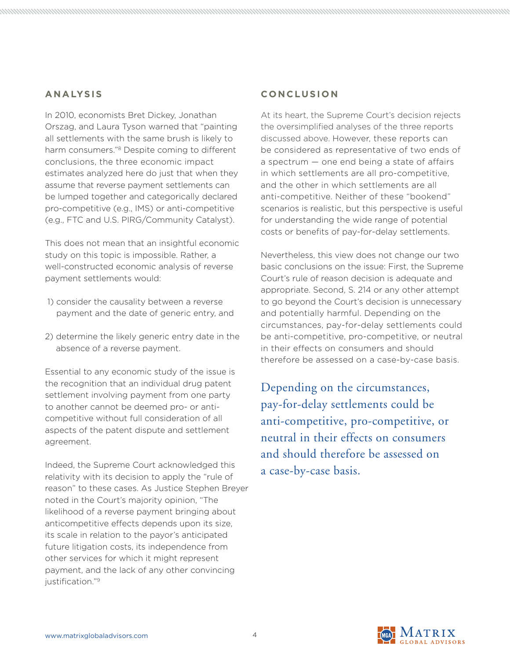#### **ANALYSIS**

In 2010, economists Bret Dickey, Jonathan Orszag, and Laura Tyson warned that "painting all settlements with the same brush is likely to harm consumers."8 Despite coming to different conclusions, the three economic impact estimates analyzed here do just that when they assume that reverse payment settlements can be lumped together and categorically declared pro-competitive (e.g., IMS) or anti-competitive (e.g., FTC and U.S. PIRG/Community Catalyst).

This does not mean that an insightful economic study on this topic is impossible. Rather, a well-constructed economic analysis of reverse payment settlements would:

- 1) consider the causality between a reverse payment and the date of generic entry, and
- 2) determine the likely generic entry date in the absence of a reverse payment.

Essential to any economic study of the issue is the recognition that an individual drug patent settlement involving payment from one party to another cannot be deemed pro- or anticompetitive without full consideration of all aspects of the patent dispute and settlement agreement.

Indeed, the Supreme Court acknowledged this relativity with its decision to apply the "rule of reason" to these cases. As Justice Stephen Breyer noted in the Court's majority opinion, "The likelihood of a reverse payment bringing about anticompetitive effects depends upon its size, its scale in relation to the payor's anticipated future litigation costs, its independence from other services for which it might represent payment, and the lack of any other convincing justification."<sup>9</sup>

#### **CO N C LU S I O N**

At its heart, the Supreme Court's decision rejects the oversimplified analyses of the three reports discussed above. However, these reports can be considered as representative of two ends of a spectrum — one end being a state of affairs in which settlements are all pro-competitive, and the other in which settlements are all anti-competitive. Neither of these "bookend" scenarios is realistic, but this perspective is useful for understanding the wide range of potential costs or benefits of pay-for-delay settlements.

Nevertheless, this view does not change our two basic conclusions on the issue: First, the Supreme Court's rule of reason decision is adequate and appropriate. Second, S. 214 or any other attempt to go beyond the Court's decision is unnecessary and potentially harmful. Depending on the circumstances, pay-for-delay settlements could be anti-competitive, pro-competitive, or neutral in their effects on consumers and should therefore be assessed on a case-by-case basis.

Depending on the circumstances, pay-for-delay settlements could be anti-competitive, pro-competitive, or neutral in their effects on consumers and should therefore be assessed on a case-by-case basis.